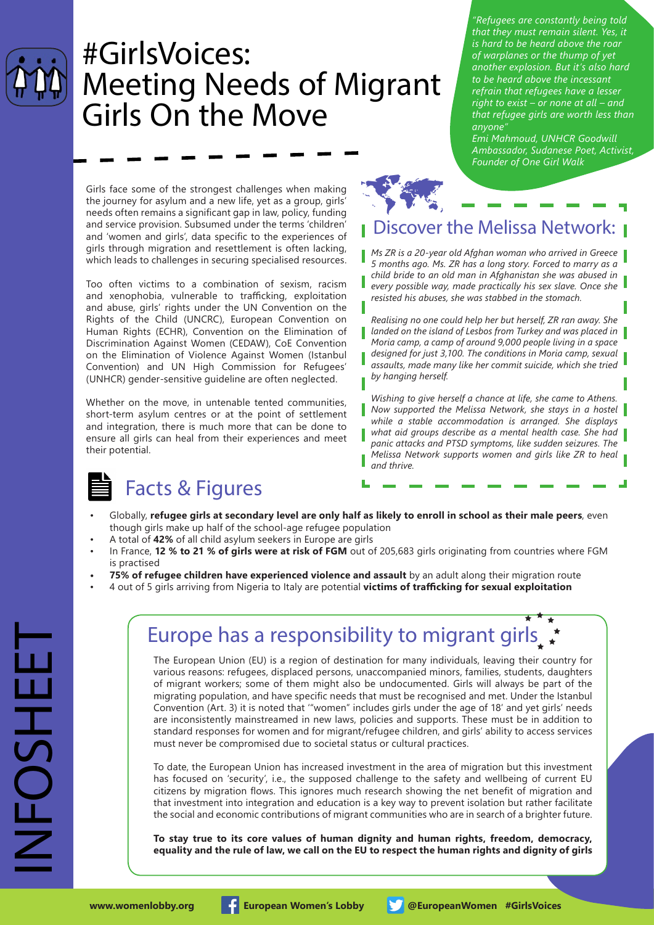

## #GirlsVoices: Meeting Needs of Migrant Girls On the Move

*of warplanes or the thump of yet another explosion. But it's also hard to be heard above the incessant refrain that refugees have a lesser right to exist – or none at all – and that refugee girls are worth less than anyone" Emi Mahmoud, UNHCR Goodwill* 

*"Refugees are constantly being told that they must remain silent. Yes, it is hard to be heard above the roar* 

*Ambassador, Sudanese Poet, Activist, Founder of One Girl Walk*

Girls face some of the strongest challenges when making the journey for asylum and a new life, yet as a group, girls' needs often remains a significant gap in law, policy, funding and service provision. Subsumed under the terms 'children' and 'women and girls', data specific to the experiences of girls through migration and resettlement is often lacking, which leads to challenges in securing specialised resources.

Too often victims to a combination of sexism, racism and xenophobia, vulnerable to trafficking, exploitation and abuse, girls' rights under the UN Convention on the Rights of the Child (UNCRC), European Convention on Human Rights (ECHR), Convention on the Elimination of Discrimination Against Women (CEDAW), CoE Convention on the Elimination of Violence Against Women (Istanbul Convention) and UN High Commission for Refugees' (UNHCR) gender-sensitive guideline are often neglected.

Whether on the move, in untenable tented communities, short-term asylum centres or at the point of settlement and integration, there is much more that can be done to ensure all girls can heal from their experiences and meet their potential.

# Discover the Melissa Network: **RANGE**

*Ms ZR is a 20-year old Afghan woman who arrived in Greece 5 months ago. Ms. ZR has a long story. Forced to marry as a child bride to an old man in Afghanistan she was abused in every possible way, made practically his sex slave. Once she resisted his abuses, she was stabbed in the stomach.*

*Realising no one could help her but herself, ZR ran away. She landed on the island of Lesbos from Turkey and was placed in Moria camp, a camp of around 9,000 people living in a space* 

*designed for just 3,100. The conditions in Moria camp, sexual assaults, made many like her commit suicide, which she tried by hanging herself.* 

#### *Wishing to give herself a chance at life, she came to Athens. Now supported the Melissa Network, she stays in a hostel while a stable accommodation is arranged. She displays*

- *what aid groups describe as a mental health case. She had panic attacks and PTSD symptoms, like sudden seizures. The*
- *Melissa Network supports women and girls like ZR to heal and thrive.*

★ ★

## Facts & Figures

- Globally, **refugee girls at secondary level are only half as likely to enroll in school as their male peers**, even though girls make up half of the school-age refugee population
- A total of **42%** of all child asylum seekers in Europe are girls
- In France, **12 % to 21 % of girls were at risk of FGM** out of 205,683 girls originating from countries where FGM is practised
- **75% of refugee children have experienced violence and assault** by an adult along their migration route
- 4 out of 5 girls arriving from Nigeria to Italy are potential **victims of trafficking for sexual exploitation**

### Europe has a responsibility to migrant girls, ★ ↑ ★

The European Union (EU) is a region of destination for many individuals, leaving their country for various reasons: refugees, displaced persons, unaccompanied minors, families, students, daughters of migrant workers; some of them might also be undocumented. Girls will always be part of the migrating population, and have specific needs that must be recognised and met. Under the Istanbul Convention (Art. 3) it is noted that '"women" includes girls under the age of 18' and yet girls' needs are inconsistently mainstreamed in new laws, policies and supports. These must be in addition to standard responses for women and for migrant/refugee children, and girls' ability to access services must never be compromised due to societal status or cultural practices.

To date, the European Union has increased investment in the area of migration but this investment has focused on 'security', i.e., the supposed challenge to the safety and wellbeing of current EU citizens by migration flows. This ignores much research showing the net benefit of migration and that investment into integration and education is a key way to prevent isolation but rather facilitate the social and economic contributions of migrant communities who are in search of a brighter future.

**To stay true to its core values of human dignity and human rights, freedom, democracy, equality and the rule of law, we call on the EU to respect the human rights and dignity of girls**